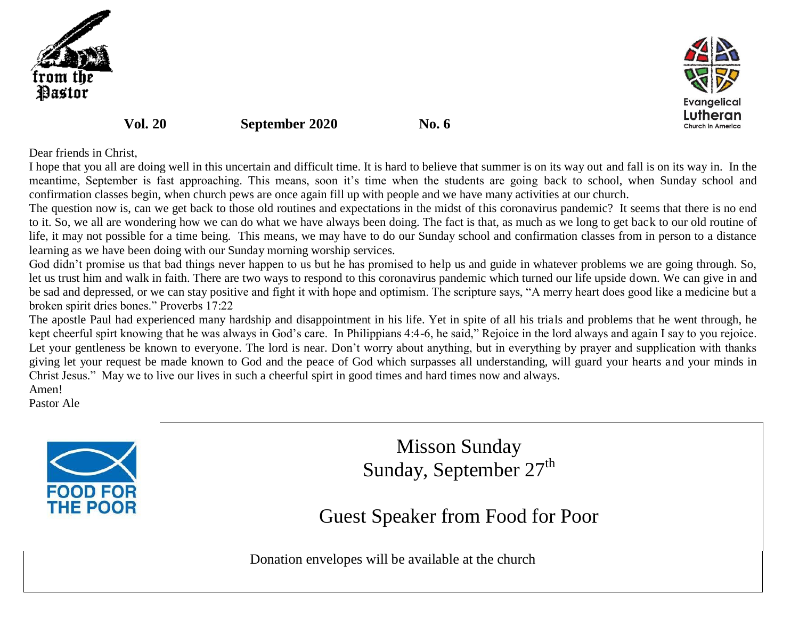



**Vol. 20 September 2020 No. 6** 

## Dear friends in Christ,

I hope that you all are doing well in this uncertain and difficult time. It is hard to believe that summer is on its way out and fall is on its way in. In the meantime, September is fast approaching. This means, soon it's time when the students are going back to school, when Sunday school and confirmation classes begin, when church pews are once again fill up with people and we have many activities at our church.

The question now is, can we get back to those old routines and expectations in the midst of this coronavirus pandemic? It seems that there is no end to it. So, we all are wondering how we can do what we have always been doing. The fact is that, as much as we long to get back to our old routine of life, it may not possible for a time being. This means, we may have to do our Sunday school and confirmation classes from in person to a distance learning as we have been doing with our Sunday morning worship services.

God didn't promise us that bad things never happen to us but he has promised to help us and guide in whatever problems we are going through. So, let us trust him and walk in faith. There are two ways to respond to this coronavirus pandemic which turned our life upside down. We can give in and be sad and depressed, or we can stay positive and fight it with hope and optimism. The scripture says, "A merry heart does good like a medicine but a broken spirit dries bones." Proverbs 17:22

The apostle Paul had experienced many hardship and disappointment in his life. Yet in spite of all his trials and problems that he went through, he kept cheerful spirt knowing that he was always in God's care. In Philippians 4:4-6, he said," Rejoice in the lord always and again I say to you rejoice. Let your gentleness be known to everyone. The lord is near. Don't worry about anything, but in everything by prayer and supplication with thanks giving let your request be made known to God and the peace of God which surpasses all understanding, will guard your hearts and your minds in Christ Jesus." May we to live our lives in such a cheerful spirt in good times and hard times now and always.

Amen!

Pastor Ale



Misson Sunday Sunday, September  $27<sup>th</sup>$ 

Guest Speaker from Food for Poor

Donation envelopes will be available at the church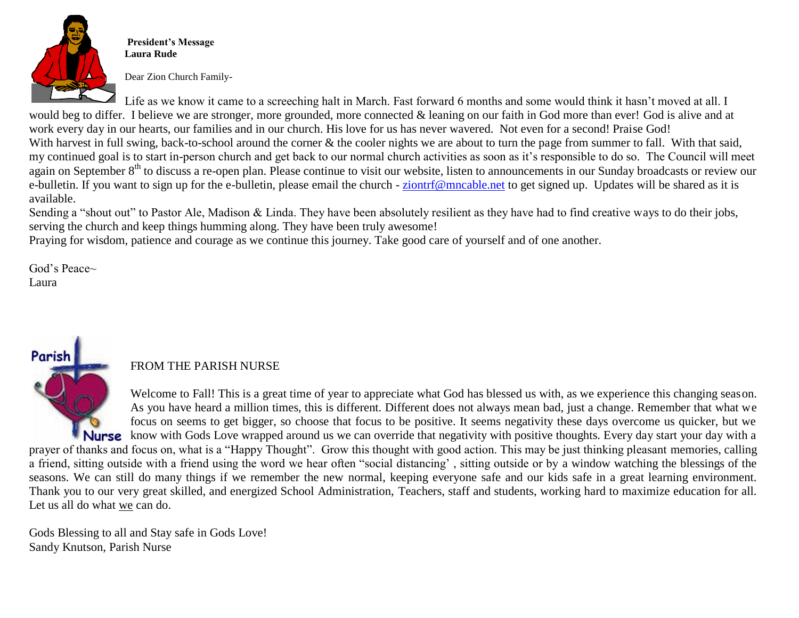

**President's Message Laura Rude**

Dear Zion Church Family-

Life as we know it came to a screeching halt in March. Fast forward 6 months and some would think it hasn't moved at all. I would beg to differ. I believe we are stronger, more grounded, more connected & leaning on our faith in God more than ever! God is alive and at work every day in our hearts, our families and in our church. His love for us has never wavered. Not even for a second! Praise God! With harvest in full swing, back-to-school around the corner & the cooler nights we are about to turn the page from summer to fall. With that said, my continued goal is to start in-person church and get back to our normal church activities as soon as it's responsible to do so. The Council will meet again on September 8<sup>th</sup> to discuss a re-open plan. Please continue to visit our website, listen to announcements in our Sunday broadcasts or review our e-bulletin. If you want to sign up for the e-bulletin, please email the church - [ziontrf@mncable.net](mailto:ziontrf@mncable.net) to get signed up. Updates will be shared as it is available.

Sending a "shout out" to Pastor Ale, Madison & Linda. They have been absolutely resilient as they have had to find creative ways to do their jobs, serving the church and keep things humming along. They have been truly awesome!

Praying for wisdom, patience and courage as we continue this journey. Take good care of yourself and of one another.

God's Peace~ Laura

## FROM THE PARISH NURSE

Welcome to Fall! This is a great time of year to appreciate what God has blessed us with, as we experience this changing season. As you have heard a million times, this is different. Different does not always mean bad, just a change. Remember that what we focus on seems to get bigger, so choose that focus to be positive. It seems negativity these days overcome us quicker, but we **Nurse** know with Gods Love wrapped around us we can override that negativity with positive thoughts. Every day start your day with a prayer of thanks and focus on, what is a "Happy Thought". Grow this thought with good action. This may be just thinking pleasant memories, calling a friend, sitting outside with a friend using the word we hear often "social distancing' , sitting outside or by a window watching the blessings of the

seasons. We can still do many things if we remember the new normal, keeping everyone safe and our kids safe in a great learning environment. Thank you to our very great skilled, and energized School Administration, Teachers, staff and students, working hard to maximize education for all. Let us all do what we can do.

Gods Blessing to all and Stay safe in Gods Love! Sandy Knutson, Parish Nurse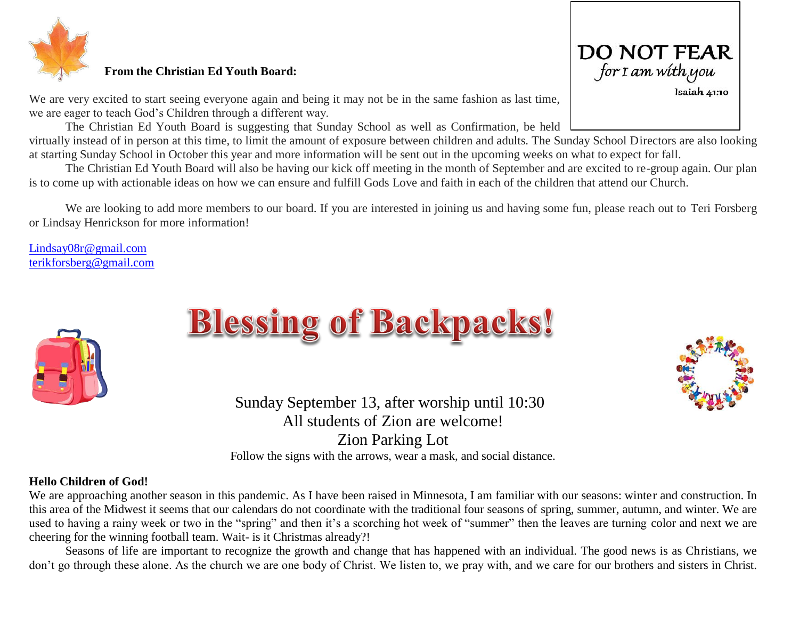

### **From the Christian Ed Youth Board:**

We are very excited to start seeing everyone again and being it may not be in the same fashion as last time, we are eager to teach God's Children through a different way.

The Christian Ed Youth Board is suggesting that Sunday School as well as Confirmation, be held virtually instead of in person at this time, to limit the amount of exposure between children and adults. The Sunday School Directors are also looking at starting Sunday School in October this year and more information will be sent out in the upcoming weeks on what to expect for fall.

The Christian Ed Youth Board will also be having our kick off meeting in the month of September and are excited to re-group again. Our plan is to come up with actionable ideas on how we can ensure and fulfill Gods Love and faith in each of the children that attend our Church.

We are looking to add more members to our board. If you are interested in joining us and having some fun, please reach out to Teri Forsberg or Lindsay Henrickson for more information!

[Lindsay08r@gmail.com](mailto:Lindsay08r@gmail.com) [terikforsberg@gmail.com](mailto:terikforsberg@gmail.com)



# **Blessing of Backpacks!**

 Sunday September 13, after worship until 10:30 All students of Zion are welcome! Zion Parking Lot Follow the signs with the arrows, wear a mask, and social distance.

#### **Hello Children of God!**

We are approaching another season in this pandemic. As I have been raised in Minnesota, I am familiar with our seasons: winter and construction. In this area of the Midwest it seems that our calendars do not coordinate with the traditional four seasons of spring, summer, autumn, and winter. We are used to having a rainy week or two in the "spring" and then it's a scorching hot week of "summer" then the leaves are turning color and next we are cheering for the winning football team. Wait- is it Christmas already?!

Seasons of life are important to recognize the growth and change that has happened with an individual. The good news is as Christians, we don't go through these alone. As the church we are one body of Christ. We listen to, we pray with, and we care for our brothers and sisters in Christ.



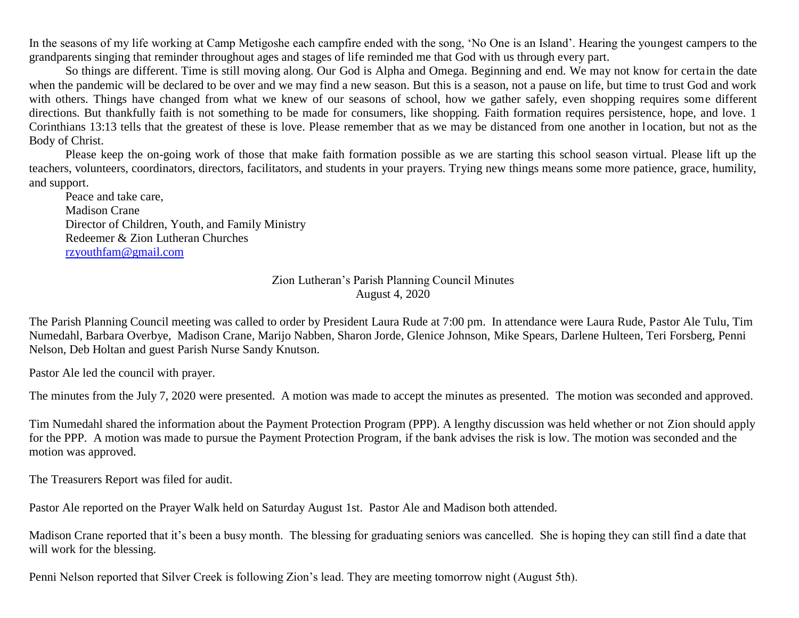In the seasons of my life working at Camp Metigoshe each campfire ended with the song, 'No One is an Island'. Hearing the youngest campers to the grandparents singing that reminder throughout ages and stages of life reminded me that God with us through every part.

So things are different. Time is still moving along. Our God is Alpha and Omega. Beginning and end. We may not know for certain the date when the pandemic will be declared to be over and we may find a new season. But this is a season, not a pause on life, but time to trust God and work with others. Things have changed from what we knew of our seasons of school, how we gather safely, even shopping requires some different directions. But thankfully faith is not something to be made for consumers, like shopping. Faith formation requires persistence, hope, and love. 1 Corinthians 13:13 tells that the greatest of these is love. Please remember that as we may be distanced from one another in location, but not as the Body of Christ.

Please keep the on-going work of those that make faith formation possible as we are starting this school season virtual. Please lift up the teachers, volunteers, coordinators, directors, facilitators, and students in your prayers. Trying new things means some more patience, grace, humility, and support.

Peace and take care, Madison Crane Director of Children, Youth, and Family Ministry Redeemer & Zion Lutheran Churches [rzyouthfam@gmail.com](mailto:rzyouthfam@gmail.com)

> Zion Lutheran's Parish Planning Council Minutes August 4, 2020

The Parish Planning Council meeting was called to order by President Laura Rude at 7:00 pm. In attendance were Laura Rude, Pastor Ale Tulu, Tim Numedahl, Barbara Overbye, Madison Crane, Marijo Nabben, Sharon Jorde, Glenice Johnson, Mike Spears, Darlene Hulteen, Teri Forsberg, Penni Nelson, Deb Holtan and guest Parish Nurse Sandy Knutson.

Pastor Ale led the council with prayer.

The minutes from the July 7, 2020 were presented. A motion was made to accept the minutes as presented. The motion was seconded and approved.

Tim Numedahl shared the information about the Payment Protection Program (PPP). A lengthy discussion was held whether or not Zion should apply for the PPP. A motion was made to pursue the Payment Protection Program, if the bank advises the risk is low. The motion was seconded and the motion was approved.

The Treasurers Report was filed for audit.

Pastor Ale reported on the Prayer Walk held on Saturday August 1st. Pastor Ale and Madison both attended.

Madison Crane reported that it's been a busy month. The blessing for graduating seniors was cancelled. She is hoping they can still find a date that will work for the blessing.

Penni Nelson reported that Silver Creek is following Zion's lead. They are meeting tomorrow night (August 5th).